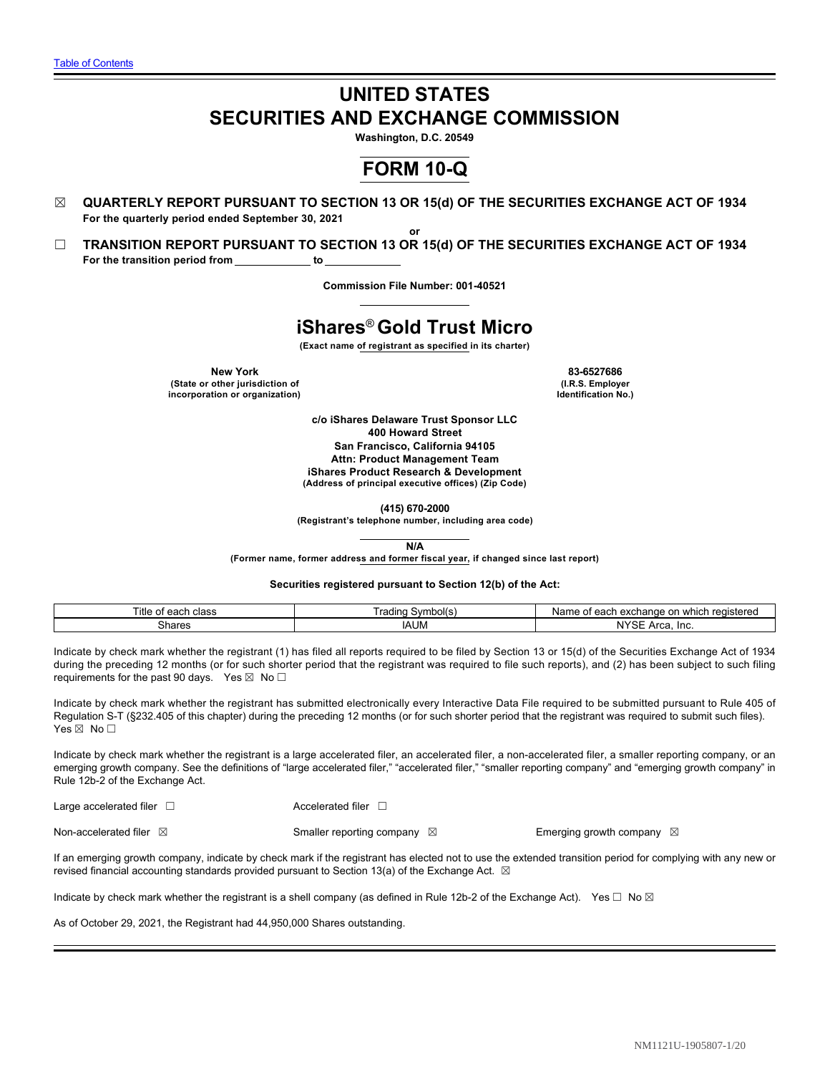# **UNITED STATES SECURITIES AND EXCHANGE COMMISSION**

**Washington, D.C. 20549**

# **FORM 10-Q**

- ☒ **QUARTERLY REPORT PURSUANT TO SECTION 13 OR 15(d) OF THE SECURITIES EXCHANGE ACT OF 1934 For the quarterly period ended September 30, 2021**
- ☐ **TRANSITION REPORT PURSUANT TO SECTION 13 OR 15(d) OF THE SECURITIES EXCHANGE ACT OF 1934** For the transition period from \_\_\_\_\_\_\_\_\_\_\_\_ to

**Commission File Number: 001-40521**

**or**

# **iShares**®**Gold Trust Micro**

**(Exact name of registrant as specified in its charter)**

**New York 83-6527686 (State or other jurisdiction of incorporation or organization)**

**(I.R.S. Employer Identification No.)**

**c/o iShares Delaware Trust Sponsor LLC 400 Howard Street San Francisco, California 94105 Attn: Product Management Team iShares Product Research & Development (Address of principal executive offices) (Zip Code)**

**(415) 670-2000**

**(Registrant's telephone number, including area code)**

**N/A**

**(Former name, former address and former fiscal year, if changed since last report)**

**Securities registered pursuant to Section 12(b) of the Act:**

| ïtle o<br>class<br>חהמם<br>------ | radinc<br>vmbolís | n <sub>n</sub><br>. rogictoror<br>exchange<br><b>Minich</b><br>Nа<br>000<br>i edistel ed<br>υι<br>.<br>.<br>v v<br>՝ |
|-----------------------------------|-------------------|----------------------------------------------------------------------------------------------------------------------|
| sthares                           | <b>AUM</b>        | N120<br>Inc<br>IM '<br>⊃⊏<br><b>TILG.</b>                                                                            |

Indicate by check mark whether the registrant (1) has filed all reports required to be filed by Section 13 or 15(d) of the Securities Exchange Act of 1934 during the preceding 12 months (or for such shorter period that the registrant was required to file such reports), and (2) has been subject to such filing requirements for the past 90 days. Yes  $\boxtimes \,$  No $\Box$ 

Indicate by check mark whether the registrant has submitted electronically every Interactive Data File required to be submitted pursuant to Rule 405 of Regulation S-T (§232.405 of this chapter) during the preceding 12 months (or for such shorter period that the registrant was required to submit such files). Yes ⊠ No □

Indicate by check mark whether the registrant is a large accelerated filer, an accelerated filer, a non-accelerated filer, a smaller reporting company, or an emerging growth company. See the definitions of "large accelerated filer," "accelerated filer," "smaller reporting company" and "emerging growth company" in Rule 12b-2 of the Exchange Act.

| Large accelerated filer $\square$ | Accelerated filer $\Box$ |  |
|-----------------------------------|--------------------------|--|
|                                   |                          |  |

Non-accelerated filer **⊠ a** Smaller reporting company **<b>imetry** Emerging growth company *⊠* 

If an emerging growth company, indicate by check mark if the registrant has elected not to use the extended transition period for complying with any new or revised financial accounting standards provided pursuant to Section 13(a) of the Exchange Act.  $\boxtimes$ 

Indicate by check mark whether the registrant is a shell company (as defined in Rule 12b-2 of the Exchange Act). Yes  $\Box$  No  $\boxtimes$ 

As of October 29, 2021, the Registrant had 44,950,000 Shares outstanding.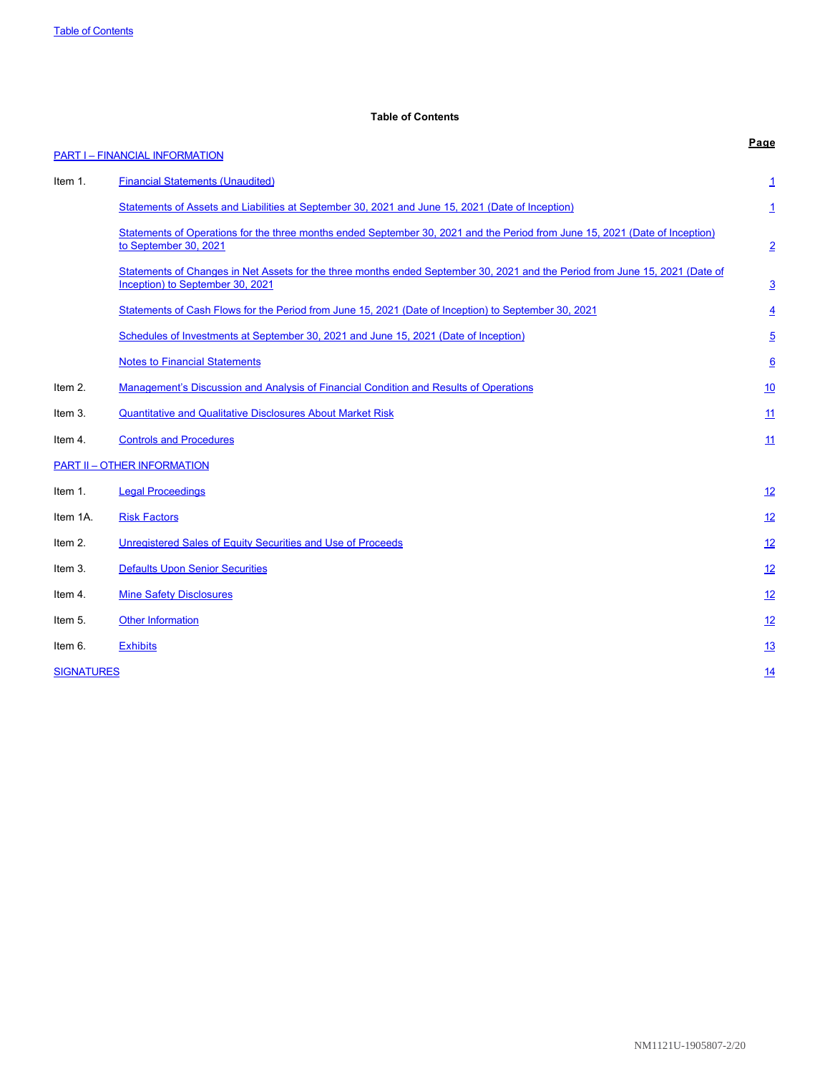## <span id="page-1-0"></span>**Table of Contents**

|                   | <b>PART I - FINANCIAL INFORMATION</b>                                                                                                                            | Page                    |
|-------------------|------------------------------------------------------------------------------------------------------------------------------------------------------------------|-------------------------|
| Item 1.           | <b>Financial Statements (Unaudited)</b>                                                                                                                          | $\mathbf{\overline{1}}$ |
|                   | Statements of Assets and Liabilities at September 30, 2021 and June 15, 2021 (Date of Inception)                                                                 | <u>1</u>                |
|                   | Statements of Operations for the three months ended September 30, 2021 and the Period from June 15, 2021 (Date of Inception)<br>to September 30, 2021            | $\overline{2}$          |
|                   | Statements of Changes in Net Assets for the three months ended September 30, 2021 and the Period from June 15, 2021 (Date of<br>Inception) to September 30, 2021 | $\overline{3}$          |
|                   | Statements of Cash Flows for the Period from June 15, 2021 (Date of Inception) to September 30, 2021                                                             | $\overline{4}$          |
|                   | Schedules of Investments at September 30, 2021 and June 15, 2021 (Date of Inception)                                                                             | $\overline{5}$          |
|                   | <b>Notes to Financial Statements</b>                                                                                                                             | $\underline{6}$         |
| Item 2.           | Management's Discussion and Analysis of Financial Condition and Results of Operations                                                                            | 10                      |
| Item 3.           | <b>Quantitative and Qualitative Disclosures About Market Risk</b>                                                                                                | 11                      |
| Item 4.           | <b>Controls and Procedures</b>                                                                                                                                   | 11                      |
|                   | <b>PART II - OTHER INFORMATION</b>                                                                                                                               |                         |
| Item 1.           | <b>Legal Proceedings</b>                                                                                                                                         | 12                      |
| Item 1A.          | <b>Risk Factors</b>                                                                                                                                              | 12                      |
| Item 2.           | Unregistered Sales of Equity Securities and Use of Proceeds                                                                                                      | 12                      |
| Item 3.           | <b>Defaults Upon Senior Securities</b>                                                                                                                           | 12                      |
| Item 4.           | <b>Mine Safety Disclosures</b>                                                                                                                                   | 12                      |
| Item 5.           | <b>Other Information</b>                                                                                                                                         | 12                      |
| Item 6.           | <b>Exhibits</b>                                                                                                                                                  | 13                      |
| <b>SIGNATURES</b> |                                                                                                                                                                  | <u>14</u>               |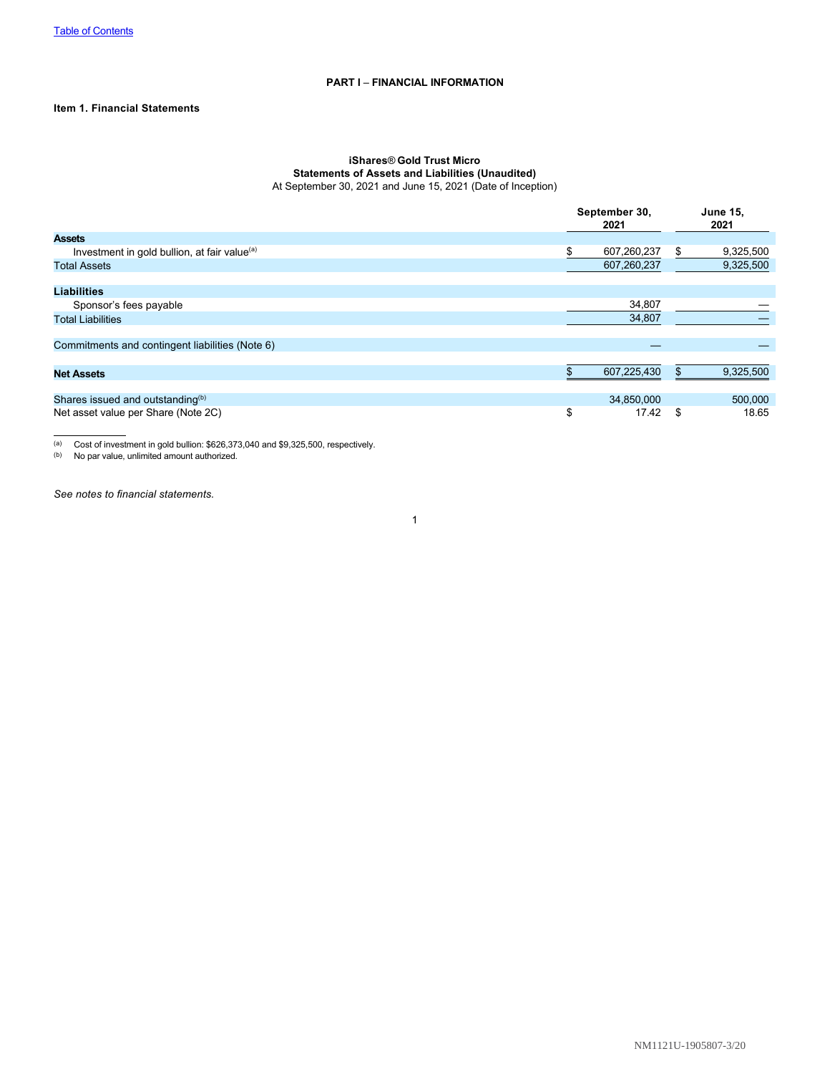## <span id="page-2-0"></span>**PART I** – **FINANCIAL INFORMATION**

## **Item 1. Financial Statements**

## **iShares**® **Gold Trust Micro Statements of Assets and Liabilities (Unaudited)** At September 30, 2021 and June 15, 2021 (Date of Inception)

|                                                          |    | September 30,<br>2021 |   | <b>June 15,</b><br>2021 |  |  |
|----------------------------------------------------------|----|-----------------------|---|-------------------------|--|--|
| <b>Assets</b>                                            |    |                       |   |                         |  |  |
| Investment in gold bullion, at fair value <sup>(a)</sup> | ፍ  | 607,260,237           |   | 9,325,500               |  |  |
| <b>Total Assets</b>                                      |    | 607,260,237           |   | 9,325,500               |  |  |
| <b>Liabilities</b>                                       |    |                       |   |                         |  |  |
| Sponsor's fees payable                                   |    | 34,807                |   |                         |  |  |
| <b>Total Liabilities</b>                                 |    | 34,807                |   |                         |  |  |
| Commitments and contingent liabilities (Note 6)          |    |                       |   |                         |  |  |
| <b>Net Assets</b>                                        |    | 607,225,430           |   | 9,325,500               |  |  |
| Shares issued and outstanding <sup>(b)</sup>             |    | 34,850,000            |   | 500,000                 |  |  |
| Net asset value per Share (Note 2C)                      | \$ | 17.42                 | S | 18.65                   |  |  |

 $(a)$  Cost of investment in gold bullion: \$626,373,040 and \$9,325,500, respectively.

(b) No par value, unlimited amount authorized.

*See notes to financial statements.*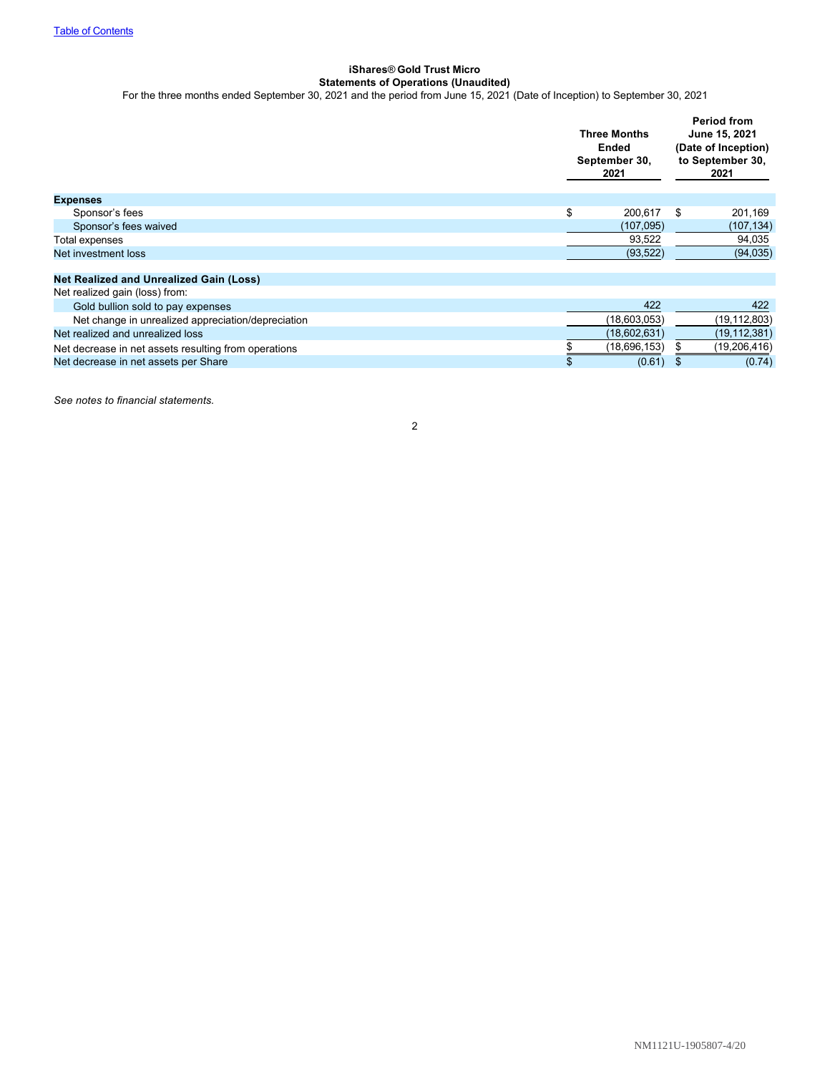## <span id="page-3-0"></span>**iShares**® **Gold Trust Micro Statements of Operations (Unaudited)**

For the three months ended September 30, 2021 and the period from June 15, 2021 (Date of Inception) to September 30, 2021

|                                                      |    | <b>Three Months</b><br>Ended<br>September 30,<br>2021 | <b>Period from</b><br>June 15, 2021<br>(Date of Inception)<br>to September 30,<br>2021 |                |  |
|------------------------------------------------------|----|-------------------------------------------------------|----------------------------------------------------------------------------------------|----------------|--|
| <b>Expenses</b>                                      |    |                                                       |                                                                                        |                |  |
| Sponsor's fees                                       | \$ | 200.617                                               | \$                                                                                     | 201,169        |  |
| Sponsor's fees waived                                |    | (107, 095)                                            |                                                                                        | (107, 134)     |  |
| Total expenses                                       |    | 93,522                                                |                                                                                        | 94,035         |  |
| Net investment loss                                  |    | (93, 522)                                             |                                                                                        | (94, 035)      |  |
| <b>Net Realized and Unrealized Gain (Loss)</b>       |    |                                                       |                                                                                        |                |  |
| Net realized gain (loss) from:                       |    |                                                       |                                                                                        |                |  |
| Gold bullion sold to pay expenses                    |    | 422                                                   |                                                                                        | 422            |  |
| Net change in unrealized appreciation/depreciation   |    | (18,603,053)                                          |                                                                                        | (19, 112, 803) |  |
| Net realized and unrealized loss                     |    | (18,602,631)                                          |                                                                                        | (19, 112, 381) |  |
| Net decrease in net assets resulting from operations |    | (18,696,153)                                          |                                                                                        | (19,206,416)   |  |
| Net decrease in net assets per Share                 |    | (0.61)                                                |                                                                                        | (0.74)         |  |

*See notes to financial statements.*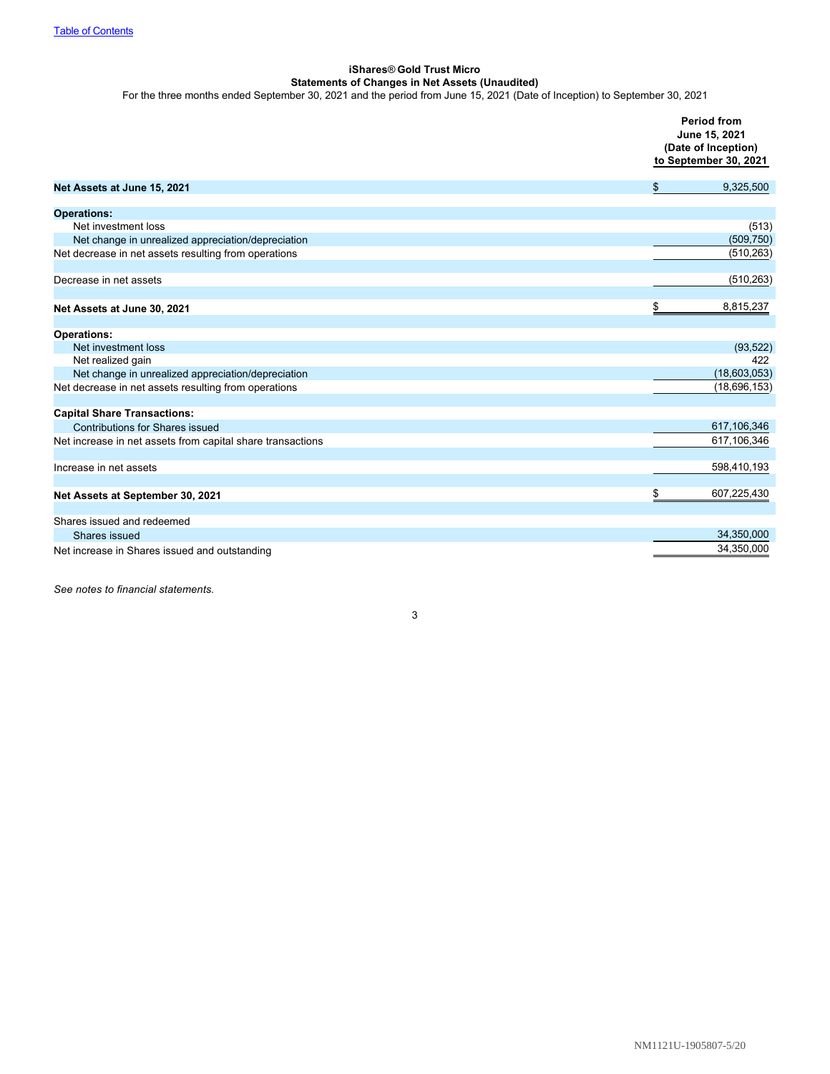## <span id="page-4-0"></span>**iShares**® **Gold Trust Micro Statements of Changes in Net Assets (Unaudited)**

For the three months ended September 30, 2021 and the period from June 15, 2021 (Date of Inception) to September 30, 2021

|                                                            | <b>Period from</b><br>June 15, 2021<br>(Date of Inception)<br>to September 30, 2021 |
|------------------------------------------------------------|-------------------------------------------------------------------------------------|
| Net Assets at June 15, 2021                                | \$<br>9,325,500                                                                     |
| <b>Operations:</b>                                         |                                                                                     |
| Net investment loss                                        | (513)                                                                               |
| Net change in unrealized appreciation/depreciation         | (509, 750)                                                                          |
| Net decrease in net assets resulting from operations       | (510, 263)                                                                          |
| Decrease in net assets                                     | (510, 263)                                                                          |
| Net Assets at June 30, 2021                                | 8,815,237<br>\$                                                                     |
| <b>Operations:</b>                                         |                                                                                     |
| Net investment loss                                        | (93, 522)                                                                           |
| Net realized gain                                          | 422                                                                                 |
| Net change in unrealized appreciation/depreciation         | (18,603,053)                                                                        |
| Net decrease in net assets resulting from operations       | (18,696,153)                                                                        |
| <b>Capital Share Transactions:</b>                         |                                                                                     |
| <b>Contributions for Shares issued</b>                     | 617,106,346                                                                         |
| Net increase in net assets from capital share transactions | 617,106,346                                                                         |
| Increase in net assets                                     | 598,410,193                                                                         |
| Net Assets at September 30, 2021                           | \$<br>607,225,430                                                                   |
| Shares issued and redeemed                                 |                                                                                     |
| Shares issued                                              | 34,350,000                                                                          |
| Net increase in Shares issued and outstanding              | 34,350,000                                                                          |

*See notes to financial statements.*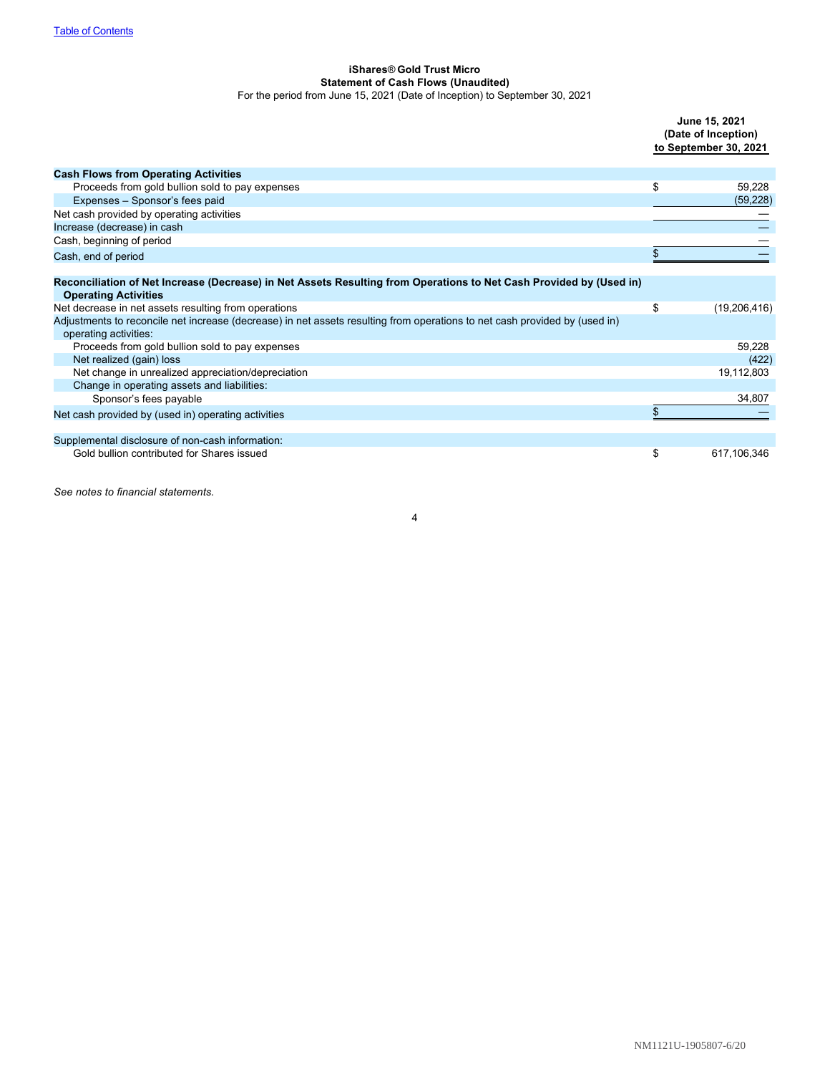## <span id="page-5-0"></span>**iShares**® **Gold Trust Micro Statement of Cash Flows (Unaudited)**

For the period from June 15, 2021 (Date of Inception) to September 30, 2021

**June 15, 2021 (Date of Inception) to September 30, 2021**

| <b>Cash Flows from Operating Activities</b>                                                                                |                    |
|----------------------------------------------------------------------------------------------------------------------------|--------------------|
| Proceeds from gold bullion sold to pay expenses                                                                            | \$<br>59,228       |
| Expenses - Sponsor's fees paid                                                                                             | (59, 228)          |
| Net cash provided by operating activities                                                                                  |                    |
| Increase (decrease) in cash                                                                                                |                    |
| Cash, beginning of period                                                                                                  |                    |
| Cash, end of period                                                                                                        |                    |
| Reconciliation of Net Increase (Decrease) in Net Assets Resulting from Operations to Net Cash Provided by (Used in)        |                    |
| <b>Operating Activities</b>                                                                                                |                    |
| Net decrease in net assets resulting from operations                                                                       | \$<br>(19,206,416) |
| Adjustments to reconcile net increase (decrease) in net assets resulting from operations to net cash provided by (used in) |                    |
| operating activities:                                                                                                      |                    |
| Proceeds from gold bullion sold to pay expenses                                                                            | 59,228             |
| Net realized (gain) loss                                                                                                   | (422)              |
| Net change in unrealized appreciation/depreciation                                                                         | 19,112,803         |
| Change in operating assets and liabilities:                                                                                |                    |
| Sponsor's fees payable                                                                                                     | 34.807             |
| Net cash provided by (used in) operating activities                                                                        |                    |
|                                                                                                                            |                    |
| Supplemental disclosure of non-cash information:                                                                           |                    |
| Gold bullion contributed for Shares issued                                                                                 | \$<br>617,106,346  |
|                                                                                                                            |                    |

*See notes to financial statements.*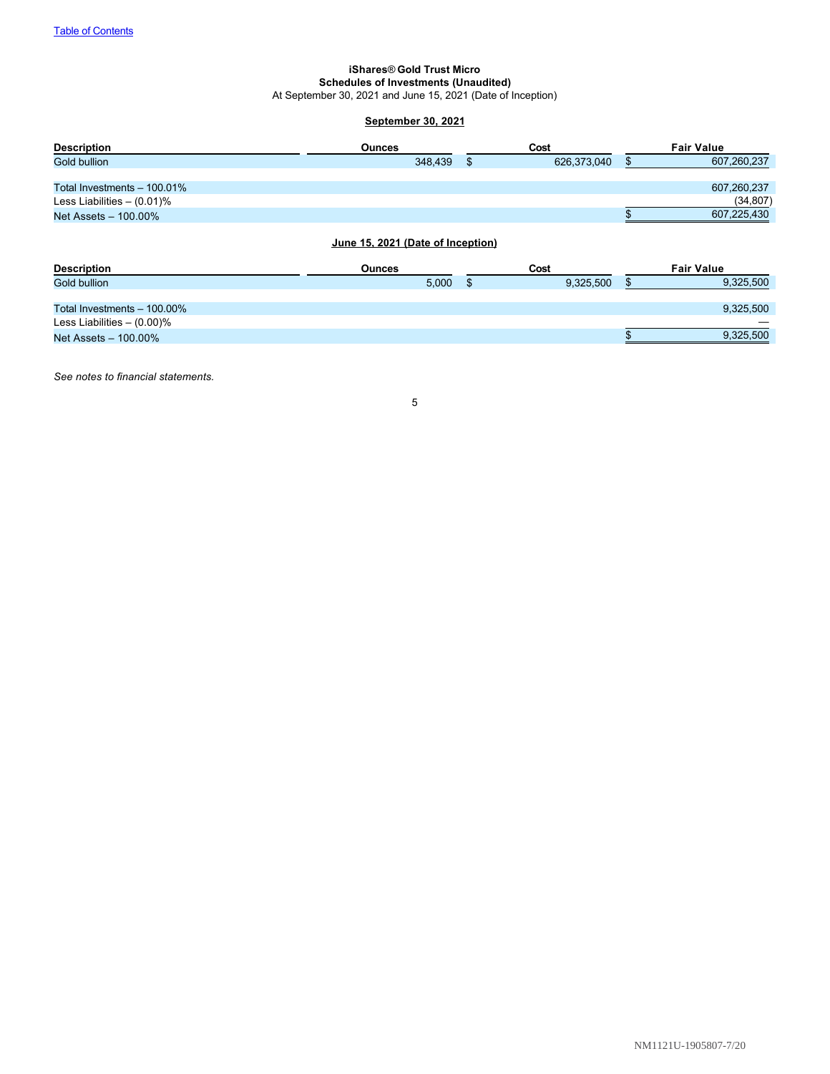### **iShares**® **Gold Trust Micro Schedules of Investments (Unaudited)** At September 30, 2021 and June 15, 2021 (Date of Inception)

## <span id="page-6-0"></span>**September 30, 2021**

| <b>Description</b>           | <b>Ounces</b>                                      | Cost              | <b>Fair Value</b> |
|------------------------------|----------------------------------------------------|-------------------|-------------------|
| Gold bullion                 | 348,439                                            | \$<br>626.373.040 | \$<br>607,260,237 |
|                              |                                                    |                   |                   |
| Total Investments - 100.01%  |                                                    |                   | 607,260,237       |
| Less Liabilities $-$ (0.01)% |                                                    |                   | (34, 807)         |
| Net Assets - 100.00%         |                                                    |                   | 607, 225, 430     |
| <b>Description</b>           | June 15, 2021 (Date of Inception)<br><b>Ounces</b> | Cost              | <b>Fair Value</b> |
| <b>Gold bullion</b>          | 5,000                                              | \$<br>9,325,500   | \$<br>9,325,500   |
|                              |                                                    |                   |                   |
| Total Investments - 100.00%  |                                                    |                   | 9,325,500         |
| Less Liabilities $-$ (0.00)% |                                                    |                   |                   |
| Net Assets - 100.00%         |                                                    |                   | 9,325,500         |

*See notes to financial statements.*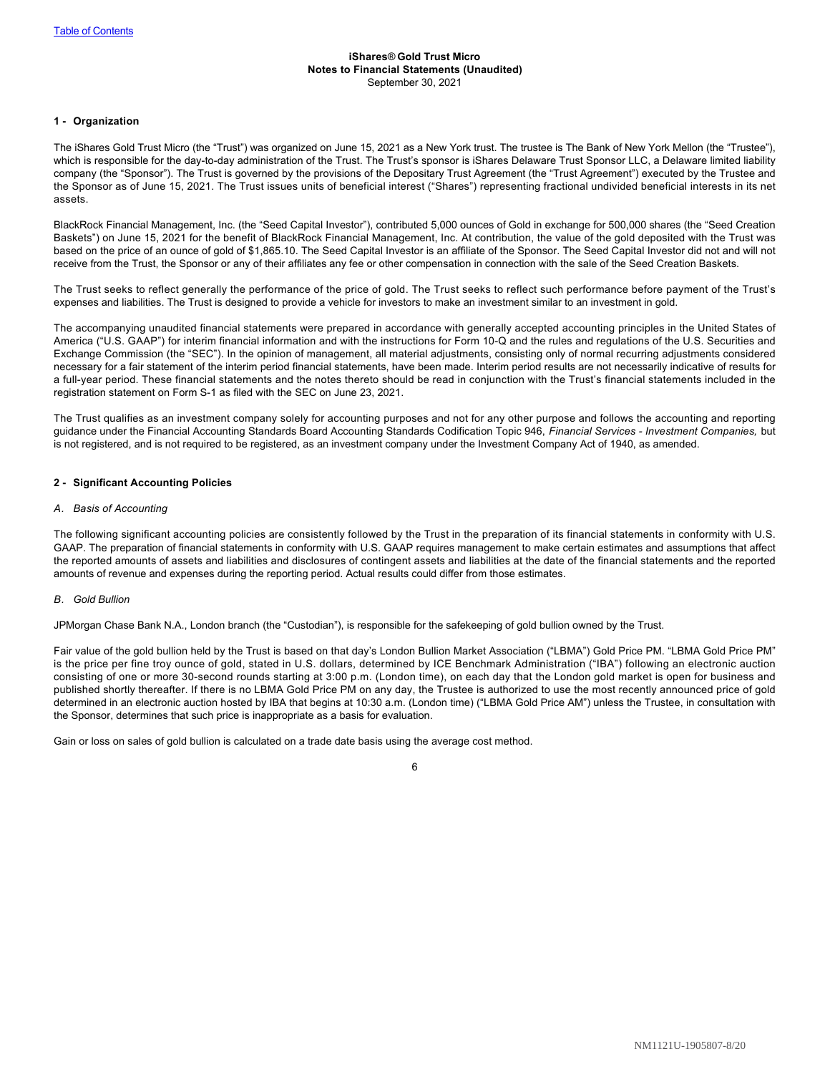#### <span id="page-7-0"></span>**iShares**® **Gold Trust Micro Notes to Financial Statements (Unaudited)** September 30, 2021

#### **1 - Organization**

The iShares Gold Trust Micro (the "Trust") was organized on June 15, 2021 as a New York trust. The trustee is The Bank of New York Mellon (the "Trustee"), which is responsible for the day-to-day administration of the Trust. The Trust's sponsor is iShares Delaware Trust Sponsor LLC, a Delaware limited liability company (the "Sponsor"). The Trust is governed by the provisions of the Depositary Trust Agreement (the "Trust Agreement") executed by the Trustee and the Sponsor as of June 15, 2021. The Trust issues units of beneficial interest ("Shares") representing fractional undivided beneficial interests in its net assets.

BlackRock Financial Management, Inc. (the "Seed Capital Investor"), contributed 5,000 ounces of Gold in exchange for 500,000 shares (the "Seed Creation Baskets") on June 15, 2021 for the benefit of BlackRock Financial Management, Inc. At contribution, the value of the gold deposited with the Trust was based on the price of an ounce of gold of \$1,865.10. The Seed Capital Investor is an affiliate of the Sponsor. The Seed Capital Investor did not and will not receive from the Trust, the Sponsor or any of their affiliates any fee or other compensation in connection with the sale of the Seed Creation Baskets.

The Trust seeks to reflect generally the performance of the price of gold. The Trust seeks to reflect such performance before payment of the Trust's expenses and liabilities. The Trust is designed to provide a vehicle for investors to make an investment similar to an investment in gold.

The accompanying unaudited financial statements were prepared in accordance with generally accepted accounting principles in the United States of America ("U.S. GAAP") for interim financial information and with the instructions for Form 10-Q and the rules and regulations of the U.S. Securities and Exchange Commission (the "SEC"). In the opinion of management, all material adjustments, consisting only of normal recurring adjustments considered necessary for a fair statement of the interim period financial statements, have been made. Interim period results are not necessarily indicative of results for a full-year period. These financial statements and the notes thereto should be read in conjunction with the Trust's financial statements included in the registration statement on Form S-1 as filed with the SEC on June 23, 2021.

The Trust qualifies as an investment company solely for accounting purposes and not for any other purpose and follows the accounting and reporting guidance under the Financial Accounting Standards Board Accounting Standards Codification Topic 946, *Financial Services - Investment Companies,* but is not registered, and is not required to be registered, as an investment company under the Investment Company Act of 1940, as amended.

#### **2 - Significant Accounting Policies**

#### *A. Basis of Accounting*

The following significant accounting policies are consistently followed by the Trust in the preparation of its financial statements in conformity with U.S. GAAP. The preparation of financial statements in conformity with U.S. GAAP requires management to make certain estimates and assumptions that affect the reported amounts of assets and liabilities and disclosures of contingent assets and liabilities at the date of the financial statements and the reported amounts of revenue and expenses during the reporting period. Actual results could differ from those estimates.

#### *B. Gold Bullion*

JPMorgan Chase Bank N.A., London branch (the "Custodian"), is responsible for the safekeeping of gold bullion owned by the Trust.

Fair value of the gold bullion held by the Trust is based on that day's London Bullion Market Association ("LBMA") Gold Price PM. "LBMA Gold Price PM" is the price per fine troy ounce of gold, stated in U.S. dollars, determined by ICE Benchmark Administration ("IBA") following an electronic auction consisting of one or more 30-second rounds starting at 3:00 p.m. (London time), on each day that the London gold market is open for business and published shortly thereafter. If there is no LBMA Gold Price PM on any day, the Trustee is authorized to use the most recently announced price of gold determined in an electronic auction hosted by IBA that begins at 10:30 a.m. (London time) ("LBMA Gold Price AM") unless the Trustee, in consultation with the Sponsor, determines that such price is inappropriate as a basis for evaluation.

Gain or loss on sales of gold bullion is calculated on a trade date basis using the average cost method.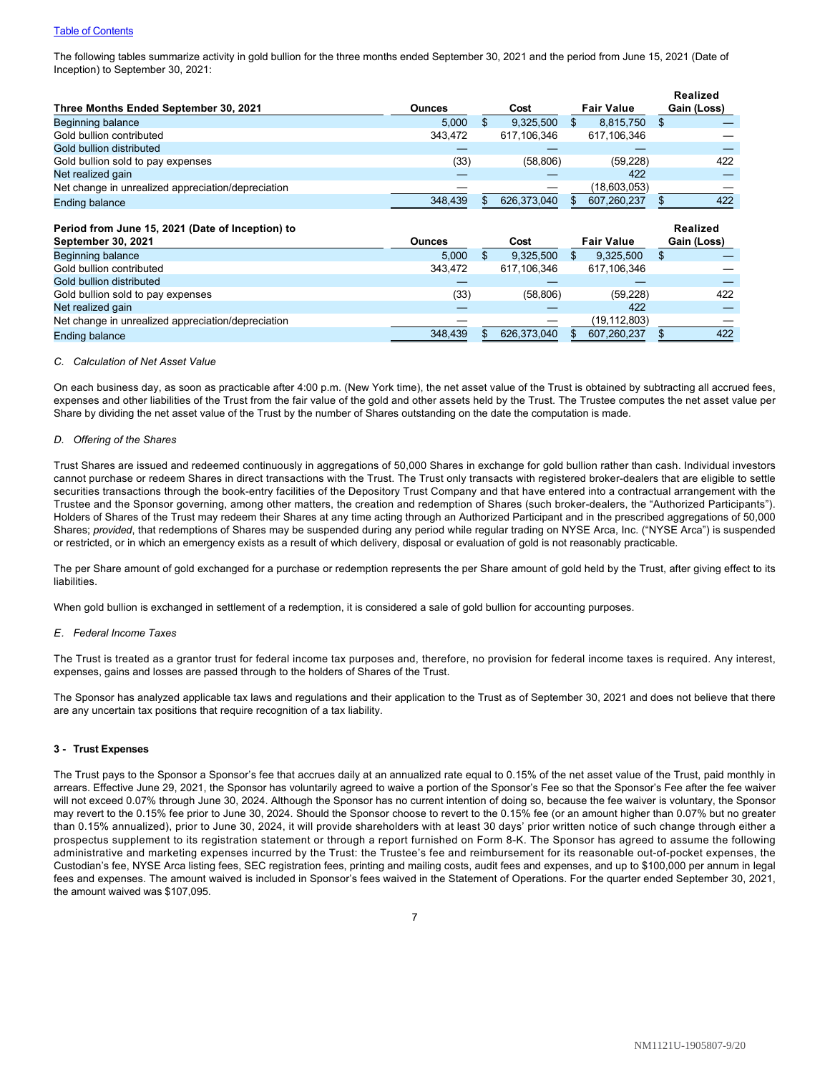#### **[Table of Contents](#page-1-0)**

The following tables summarize activity in gold bullion for the three months ended September 30, 2021 and the period from June 15, 2021 (Date of Inception) to September 30, 2021:

|                                                    |               |                   |                   | <b>Realized</b> |
|----------------------------------------------------|---------------|-------------------|-------------------|-----------------|
| Three Months Ended September 30, 2021              | <b>Ounces</b> | Cost              | <b>Fair Value</b> | Gain (Loss)     |
| Beginning balance                                  | 5,000         | \$<br>9,325,500   | 8,815,750         | \$              |
| Gold bullion contributed                           | 343,472       | 617,106,346       | 617,106,346       |                 |
| Gold bullion distributed                           |               |                   |                   |                 |
| Gold bullion sold to pay expenses                  | (33)          | (58, 806)         | (59, 228)         | 422             |
| Net realized gain                                  |               |                   | 422               |                 |
| Net change in unrealized appreciation/depreciation |               |                   | (18,603,053)      |                 |
| <b>Ending balance</b>                              | 348,439       | \$<br>626,373,040 | 607,260,237       | 422             |
|                                                    |               |                   |                   |                 |
| Period from June 15, 2021 (Date of Inception) to   |               |                   |                   | <b>Realized</b> |
| <b>September 30, 2021</b>                          | <b>Ounces</b> | Cost              | <b>Fair Value</b> | Gain (Loss)     |
| Beginning balance                                  | 5.000         | \$<br>9,325,500   | 9.325.500         | \$              |
| Gold bullion contributed                           | 343,472       | 617,106,346       | 617,106,346       |                 |
| Gold bullion distributed                           |               |                   |                   |                 |
| Gold bullion sold to pay expenses                  | (33)          | (58, 806)         | (59, 228)         | 422             |
| Net realized gain                                  |               |                   | 422               |                 |
| Net change in unrealized appreciation/depreciation |               |                   | (19, 112, 803)    |                 |

#### *C. Calculation of Net Asset Value*

On each business day, as soon as practicable after 4:00 p.m. (New York time), the net asset value of the Trust is obtained by subtracting all accrued fees, expenses and other liabilities of the Trust from the fair value of the gold and other assets held by the Trust. The Trustee computes the net asset value per Share by dividing the net asset value of the Trust by the number of Shares outstanding on the date the computation is made.

#### *D. Offering of the Shares*

Trust Shares are issued and redeemed continuously in aggregations of 50,000 Shares in exchange for gold bullion rather than cash. Individual investors cannot purchase or redeem Shares in direct transactions with the Trust. The Trust only transacts with registered broker-dealers that are eligible to settle securities transactions through the book-entry facilities of the Depository Trust Company and that have entered into a contractual arrangement with the Trustee and the Sponsor governing, among other matters, the creation and redemption of Shares (such broker-dealers, the "Authorized Participants"). Holders of Shares of the Trust may redeem their Shares at any time acting through an Authorized Participant and in the prescribed aggregations of 50,000 Shares; *provided*, that redemptions of Shares may be suspended during any period while regular trading on NYSE Arca, Inc. ("NYSE Arca") is suspended or restricted, or in which an emergency exists as a result of which delivery, disposal or evaluation of gold is not reasonably practicable.

The per Share amount of gold exchanged for a purchase or redemption represents the per Share amount of gold held by the Trust, after giving effect to its liabilities.

When gold bullion is exchanged in settlement of a redemption, it is considered a sale of gold bullion for accounting purposes.

#### *E. Federal Income Taxes*

The Trust is treated as a grantor trust for federal income tax purposes and, therefore, no provision for federal income taxes is required. Any interest, expenses, gains and losses are passed through to the holders of Shares of the Trust.

The Sponsor has analyzed applicable tax laws and regulations and their application to the Trust as of September 30, 2021 and does not believe that there are any uncertain tax positions that require recognition of a tax liability.

#### **3 - Trust Expenses**

The Trust pays to the Sponsor a Sponsor's fee that accrues daily at an annualized rate equal to 0.15% of the net asset value of the Trust, paid monthly in arrears. Effective June 29, 2021, the Sponsor has voluntarily agreed to waive a portion of the Sponsor's Fee so that the Sponsor's Fee after the fee waiver will not exceed 0.07% through June 30, 2024. Although the Sponsor has no current intention of doing so, because the fee waiver is voluntary, the Sponsor may revert to the 0.15% fee prior to June 30, 2024. Should the Sponsor choose to revert to the 0.15% fee (or an amount higher than 0.07% but no greater than 0.15% annualized), prior to June 30, 2024, it will provide shareholders with at least 30 days' prior written notice of such change through either a prospectus supplement to its registration statement or through a report furnished on Form 8-K. The Sponsor has agreed to assume the following administrative and marketing expenses incurred by the Trust: the Trustee's fee and reimbursement for its reasonable out-of-pocket expenses, the Custodian's fee, NYSE Arca listing fees, SEC registration fees, printing and mailing costs, audit fees and expenses, and up to \$100,000 per annum in legal fees and expenses. The amount waived is included in Sponsor's fees waived in the Statement of Operations. For the quarter ended September 30, 2021, the amount waived was \$107,095.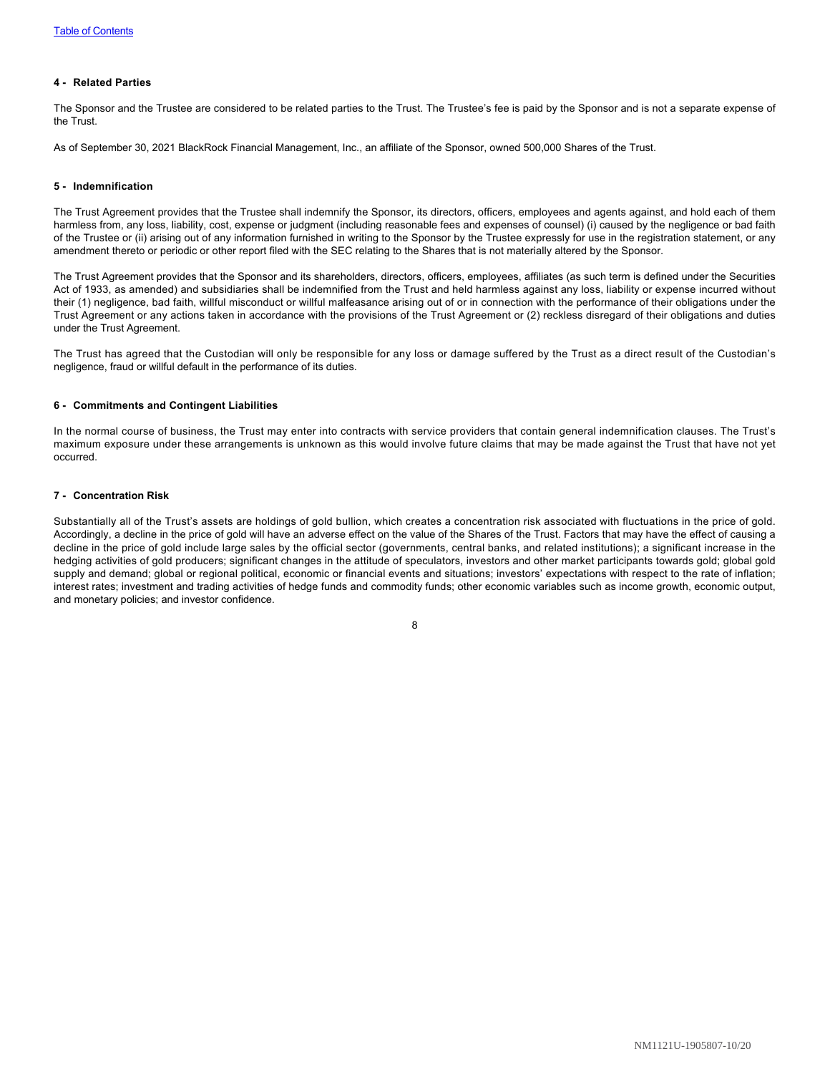#### **4 - Related Parties**

The Sponsor and the Trustee are considered to be related parties to the Trust. The Trustee's fee is paid by the Sponsor and is not a separate expense of the Trust.

As of September 30, 2021 BlackRock Financial Management, Inc., an affiliate of the Sponsor, owned 500,000 Shares of the Trust.

#### **5 - Indemnification**

The Trust Agreement provides that the Trustee shall indemnify the Sponsor, its directors, officers, employees and agents against, and hold each of them harmless from, any loss, liability, cost, expense or judgment (including reasonable fees and expenses of counsel) (i) caused by the negligence or bad faith of the Trustee or (ii) arising out of any information furnished in writing to the Sponsor by the Trustee expressly for use in the registration statement, or any amendment thereto or periodic or other report filed with the SEC relating to the Shares that is not materially altered by the Sponsor.

The Trust Agreement provides that the Sponsor and its shareholders, directors, officers, employees, affiliates (as such term is defined under the Securities Act of 1933, as amended) and subsidiaries shall be indemnified from the Trust and held harmless against any loss, liability or expense incurred without their (1) negligence, bad faith, willful misconduct or willful malfeasance arising out of or in connection with the performance of their obligations under the Trust Agreement or any actions taken in accordance with the provisions of the Trust Agreement or (2) reckless disregard of their obligations and duties under the Trust Agreement.

The Trust has agreed that the Custodian will only be responsible for any loss or damage suffered by the Trust as a direct result of the Custodian's negligence, fraud or willful default in the performance of its duties.

#### **6 - Commitments and Contingent Liabilities**

In the normal course of business, the Trust may enter into contracts with service providers that contain general indemnification clauses. The Trust's maximum exposure under these arrangements is unknown as this would involve future claims that may be made against the Trust that have not yet occurred.

#### **7 - Concentration Risk**

Substantially all of the Trust's assets are holdings of gold bullion, which creates a concentration risk associated with fluctuations in the price of gold. Accordingly, a decline in the price of gold will have an adverse effect on the value of the Shares of the Trust. Factors that may have the effect of causing a decline in the price of gold include large sales by the official sector (governments, central banks, and related institutions); a significant increase in the hedging activities of gold producers; significant changes in the attitude of speculators, investors and other market participants towards gold; global gold supply and demand; global or regional political, economic or financial events and situations; investors' expectations with respect to the rate of inflation; interest rates; investment and trading activities of hedge funds and commodity funds; other economic variables such as income growth, economic output, and monetary policies; and investor confidence.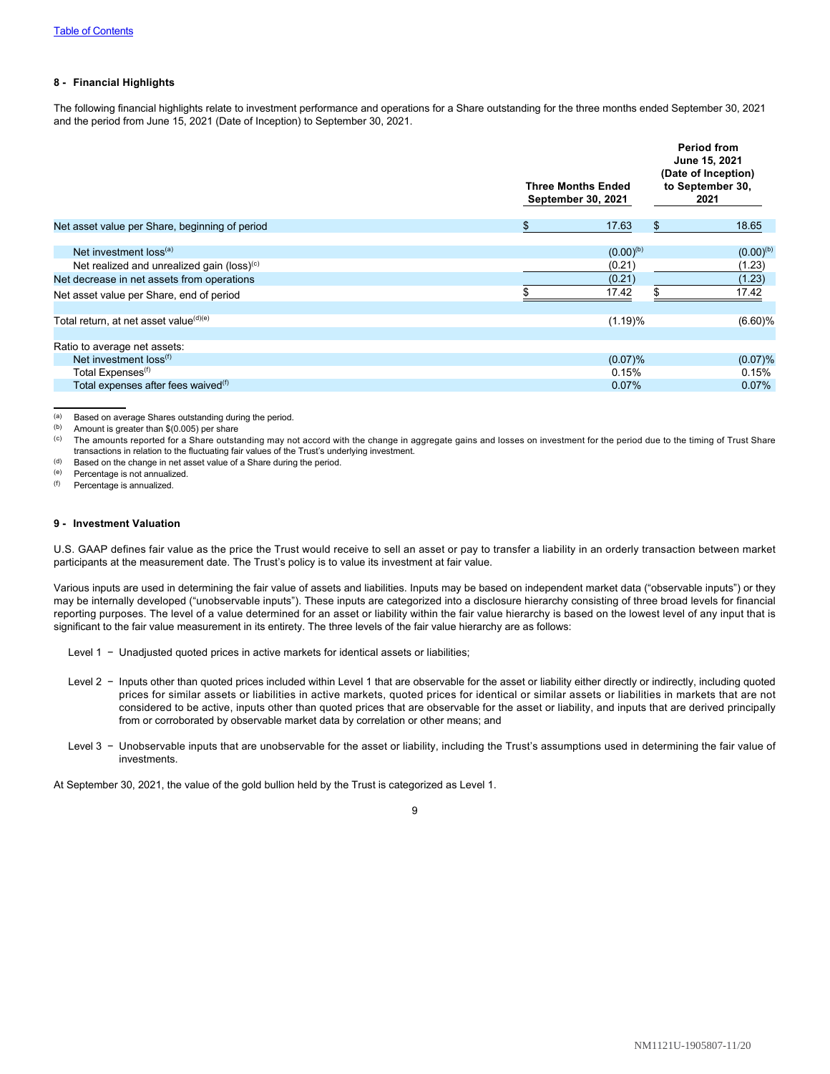## **8 - Financial Highlights**

The following financial highlights relate to investment performance and operations for a Share outstanding for the three months ended September 30, 2021 and the period from June 15, 2021 (Date of Inception) to September 30, 2021.

|                                                        |     | <b>Three Months Ended</b><br>September 30, 2021 | <b>Period from</b><br>June 15, 2021<br>(Date of Inception)<br>to September 30,<br>2021 |
|--------------------------------------------------------|-----|-------------------------------------------------|----------------------------------------------------------------------------------------|
| Net asset value per Share, beginning of period         | \$. | 17.63                                           | \$<br>18.65                                                                            |
| Net investment $loss^{(a)}$                            |     | $(0.00)^{(b)}$                                  | $(0.00)^{(b)}$                                                                         |
| Net realized and unrealized gain (loss) <sup>(c)</sup> |     | (0.21)                                          | (1.23)                                                                                 |
| Net decrease in net assets from operations             |     | (0.21)                                          | (1.23)                                                                                 |
| Net asset value per Share, end of period               |     | 17.42                                           | 17.42<br>\$                                                                            |
| Total return, at net asset value <sup>(d)(e)</sup>     |     | (1.19)%                                         | $(6.60)$ %                                                                             |
| Ratio to average net assets:                           |     |                                                 |                                                                                        |
| Net investment loss <sup>(f)</sup>                     |     | (0.07)%                                         | (0.07)%                                                                                |
| Total Expenses <sup>(f)</sup>                          |     | 0.15%                                           | 0.15%                                                                                  |
| Total expenses after fees waived <sup>(f)</sup>        |     | $0.07\%$                                        | 0.07%                                                                                  |

(a) Based on average Shares outstanding during the period.

(b) Amount is greater than  $$(0.005)$  per share<br>(c) The emounts reported for a Share outstr

The amounts reported for a Share outstanding may not accord with the change in aggregate gains and losses on investment for the period due to the timing of Trust Share transactions in relation to the fluctuating fair values of the Trust's underlying investment.

Based on the change in net asset value of a Share during the period.

 $(6)$  Percentage is not annualized.<br> $(6)$  Percentage is annualized

Percentage is annualized.

### **9 - Investment Valuation**

U.S. GAAP defines fair value as the price the Trust would receive to sell an asset or pay to transfer a liability in an orderly transaction between market participants at the measurement date. The Trust's policy is to value its investment at fair value.

Various inputs are used in determining the fair value of assets and liabilities. Inputs may be based on independent market data ("observable inputs") or they may be internally developed ("unobservable inputs"). These inputs are categorized into a disclosure hierarchy consisting of three broad levels for financial reporting purposes. The level of a value determined for an asset or liability within the fair value hierarchy is based on the lowest level of any input that is significant to the fair value measurement in its entirety. The three levels of the fair value hierarchy are as follows:

Level 1 − Unadjusted quoted prices in active markets for identical assets or liabilities;

- Level 2 Inputs other than quoted prices included within Level 1 that are observable for the asset or liability either directly or indirectly, including quoted prices for similar assets or liabilities in active markets, quoted prices for identical or similar assets or liabilities in markets that are not considered to be active, inputs other than quoted prices that are observable for the asset or liability, and inputs that are derived principally from or corroborated by observable market data by correlation or other means; and
- Level 3 Unobservable inputs that are unobservable for the asset or liability, including the Trust's assumptions used in determining the fair value of investments.

At September 30, 2021, the value of the gold bullion held by the Trust is categorized as Level 1.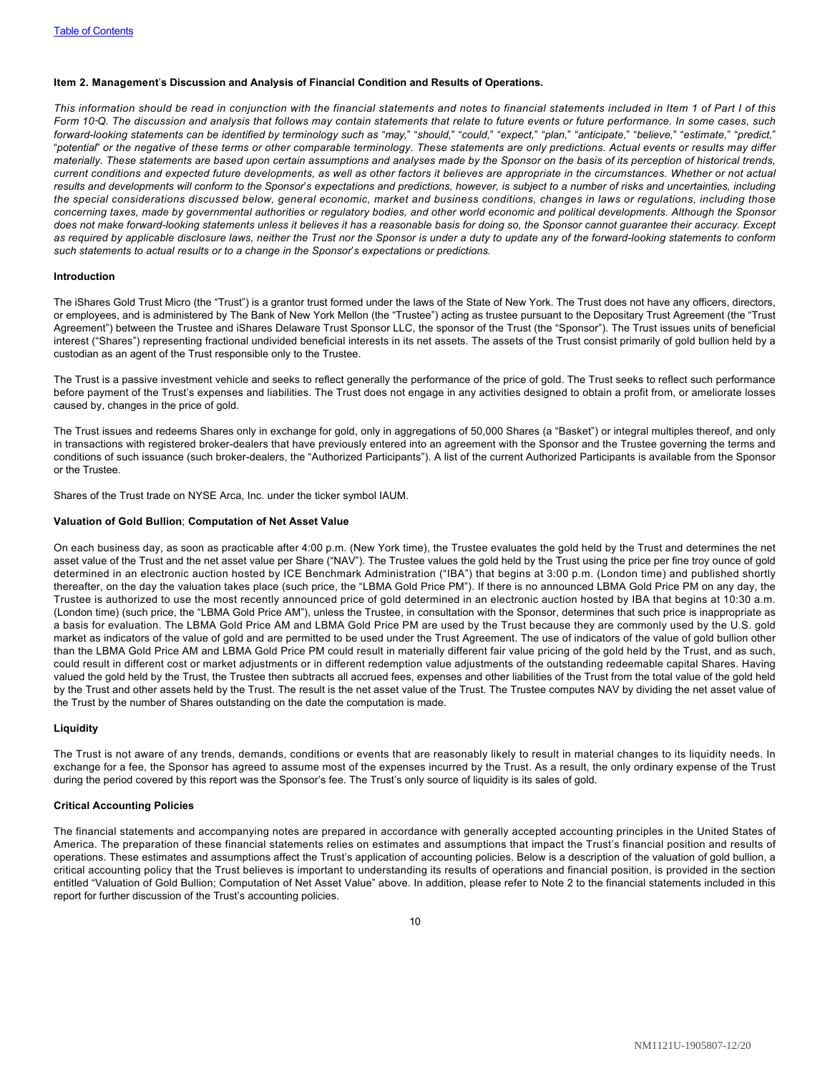#### <span id="page-11-0"></span>**Item 2. Management**'**s Discussion and Analysis of Financial Condition and Results of Operations.**

*This information should be read in conjunction with the financial statements and notes to financial statements included in Item 1 of Part I of this Form 10*‑*Q. The discussion and analysis that follows may contain statements that relate to future events or future performance. In some cases, such* forward-looking statements can be identified by terminology such as "may," "should," "could," "expect," "plan," "anticipate," "believe," "estimate," "predict," "*potential*" *or the negative of these terms or other comparable terminology. These statements are only predictions. Actual events or results may differ materially. These statements are based upon certain assumptions and analyses made by the Sponsor on the basis of its perception of historical trends, current conditions and expected future developments, as well as other factors it believes are appropriate in the circumstances. Whether or not actual results and developments will conform to the Sponsor*'*s expectations and predictions, however, is subject to a number of risks and uncertainties, including the special considerations discussed below, general economic, market and business conditions, changes in laws or regulations, including those concerning taxes, made by governmental authorities or regulatory bodies, and other world economic and political developments. Although the Sponsor does not make forward-looking statements unless it believes it has a reasonable basis for doing so, the Sponsor cannot guarantee their accuracy. Except as required by applicable disclosure laws, neither the Trust nor the Sponsor is under a duty to update any of the forward-looking statements to conform such statements to actual results or to a change in the Sponsor*'*s expectations or predictions.*

#### **Introduction**

The iShares Gold Trust Micro (the "Trust") is a grantor trust formed under the laws of the State of New York. The Trust does not have any officers, directors, or employees, and is administered by The Bank of New York Mellon (the "Trustee") acting as trustee pursuant to the Depositary Trust Agreement (the "Trust Agreement") between the Trustee and iShares Delaware Trust Sponsor LLC, the sponsor of the Trust (the "Sponsor"). The Trust issues units of beneficial interest ("Shares") representing fractional undivided beneficial interests in its net assets. The assets of the Trust consist primarily of gold bullion held by a custodian as an agent of the Trust responsible only to the Trustee.

The Trust is a passive investment vehicle and seeks to reflect generally the performance of the price of gold. The Trust seeks to reflect such performance before payment of the Trust's expenses and liabilities. The Trust does not engage in any activities designed to obtain a profit from, or ameliorate losses caused by, changes in the price of gold.

The Trust issues and redeems Shares only in exchange for gold, only in aggregations of 50,000 Shares (a "Basket") or integral multiples thereof, and only in transactions with registered broker-dealers that have previously entered into an agreement with the Sponsor and the Trustee governing the terms and conditions of such issuance (such broker-dealers, the "Authorized Participants"). A list of the current Authorized Participants is available from the Sponsor or the Trustee.

Shares of the Trust trade on NYSE Arca, Inc. under the ticker symbol IAUM.

#### **Valuation of Gold Bullion**; **Computation of Net Asset Value**

On each business day, as soon as practicable after 4:00 p.m. (New York time), the Trustee evaluates the gold held by the Trust and determines the net asset value of the Trust and the net asset value per Share ("NAV"). The Trustee values the gold held by the Trust using the price per fine troy ounce of gold determined in an electronic auction hosted by ICE Benchmark Administration ("IBA") that begins at 3:00 p.m. (London time) and published shortly thereafter, on the day the valuation takes place (such price, the "LBMA Gold Price PM"). If there is no announced LBMA Gold Price PM on any day, the Trustee is authorized to use the most recently announced price of gold determined in an electronic auction hosted by IBA that begins at 10:30 a.m. (London time) (such price, the "LBMA Gold Price AM"), unless the Trustee, in consultation with the Sponsor, determines that such price is inappropriate as a basis for evaluation. The LBMA Gold Price AM and LBMA Gold Price PM are used by the Trust because they are commonly used by the U.S. gold market as indicators of the value of gold and are permitted to be used under the Trust Agreement. The use of indicators of the value of gold bullion other than the LBMA Gold Price AM and LBMA Gold Price PM could result in materially different fair value pricing of the gold held by the Trust, and as such, could result in different cost or market adjustments or in different redemption value adjustments of the outstanding redeemable capital Shares. Having valued the gold held by the Trust, the Trustee then subtracts all accrued fees, expenses and other liabilities of the Trust from the total value of the gold held by the Trust and other assets held by the Trust. The result is the net asset value of the Trust. The Trustee computes NAV by dividing the net asset value of the Trust by the number of Shares outstanding on the date the computation is made.

#### **Liquidity**

The Trust is not aware of any trends, demands, conditions or events that are reasonably likely to result in material changes to its liquidity needs. In exchange for a fee, the Sponsor has agreed to assume most of the expenses incurred by the Trust. As a result, the only ordinary expense of the Trust during the period covered by this report was the Sponsor's fee. The Trust's only source of liquidity is its sales of gold.

#### **Critical Accounting Policies**

The financial statements and accompanying notes are prepared in accordance with generally accepted accounting principles in the United States of America. The preparation of these financial statements relies on estimates and assumptions that impact the Trust's financial position and results of operations. These estimates and assumptions affect the Trust's application of accounting policies. Below is a description of the valuation of gold bullion, a critical accounting policy that the Trust believes is important to understanding its results of operations and financial position, is provided in the section entitled "Valuation of Gold Bullion; Computation of Net Asset Value" above. In addition, please refer to Note 2 to the financial statements included in this report for further discussion of the Trust's accounting policies.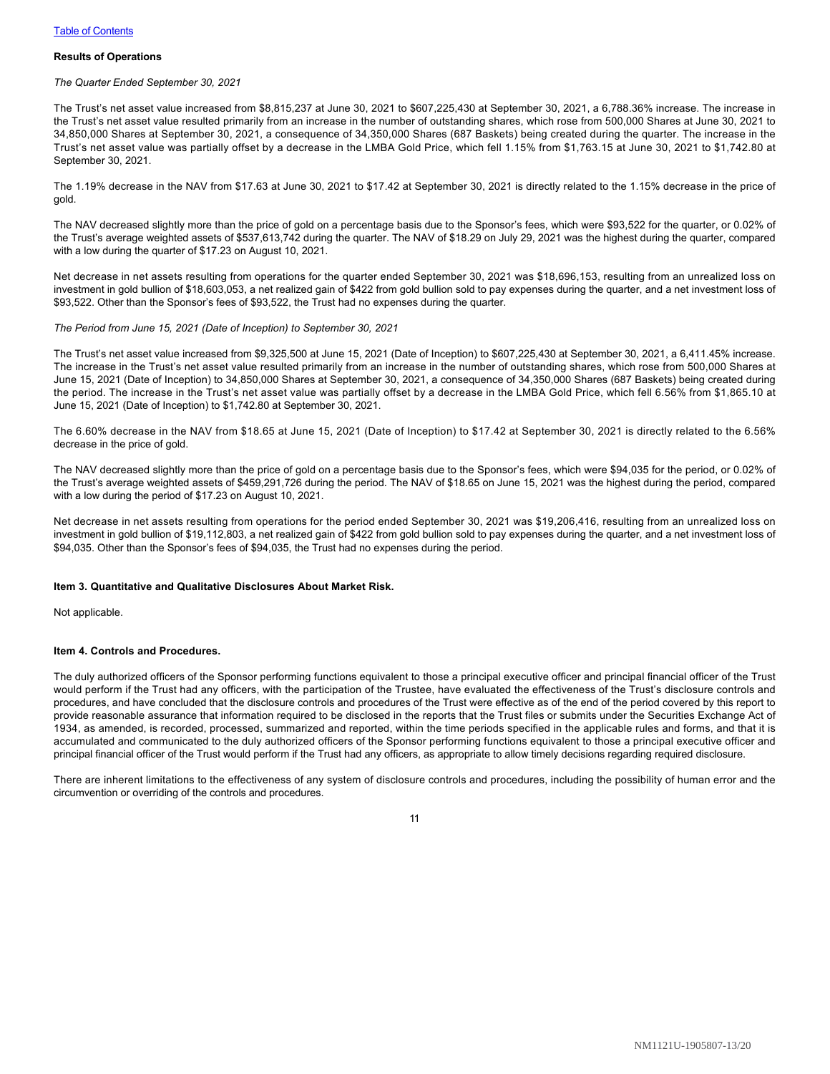#### **Results of Operations**

#### *The Quarter Ended September 30, 2021*

The Trust's net asset value increased from \$8,815,237 at June 30, 2021 to \$607,225,430 at September 30, 2021, a 6,788.36% increase. The increase in the Trust's net asset value resulted primarily from an increase in the number of outstanding shares, which rose from 500,000 Shares at June 30, 2021 to 34,850,000 Shares at September 30, 2021, a consequence of 34,350,000 Shares (687 Baskets) being created during the quarter. The increase in the Trust's net asset value was partially offset by a decrease in the LMBA Gold Price, which fell 1.15% from \$1,763.15 at June 30, 2021 to \$1,742.80 at September 30, 2021.

The 1.19% decrease in the NAV from \$17.63 at June 30, 2021 to \$17.42 at September 30, 2021 is directly related to the 1.15% decrease in the price of gold.

The NAV decreased slightly more than the price of gold on a percentage basis due to the Sponsor's fees, which were \$93,522 for the quarter, or 0.02% of the Trust's average weighted assets of \$537,613,742 during the quarter. The NAV of \$18.29 on July 29, 2021 was the highest during the quarter, compared with a low during the quarter of \$17.23 on August 10, 2021.

Net decrease in net assets resulting from operations for the quarter ended September 30, 2021 was \$18,696,153, resulting from an unrealized loss on investment in gold bullion of \$18,603,053, a net realized gain of \$422 from gold bullion sold to pay expenses during the quarter, and a net investment loss of \$93,522. Other than the Sponsor's fees of \$93,522, the Trust had no expenses during the quarter.

#### *The Period from June 15, 2021 (Date of Inception) to September 30, 2021*

The Trust's net asset value increased from \$9,325,500 at June 15, 2021 (Date of Inception) to \$607,225,430 at September 30, 2021, a 6,411.45% increase. The increase in the Trust's net asset value resulted primarily from an increase in the number of outstanding shares, which rose from 500,000 Shares at June 15, 2021 (Date of Inception) to 34,850,000 Shares at September 30, 2021, a consequence of 34,350,000 Shares (687 Baskets) being created during the period. The increase in the Trust's net asset value was partially offset by a decrease in the LMBA Gold Price, which fell 6.56% from \$1,865.10 at June 15, 2021 (Date of Inception) to \$1,742.80 at September 30, 2021.

The 6.60% decrease in the NAV from \$18.65 at June 15, 2021 (Date of Inception) to \$17.42 at September 30, 2021 is directly related to the 6.56% decrease in the price of gold.

The NAV decreased slightly more than the price of gold on a percentage basis due to the Sponsor's fees, which were \$94,035 for the period, or 0.02% of the Trust's average weighted assets of \$459,291,726 during the period. The NAV of \$18.65 on June 15, 2021 was the highest during the period, compared with a low during the period of \$17.23 on August 10, 2021.

Net decrease in net assets resulting from operations for the period ended September 30, 2021 was \$19,206,416, resulting from an unrealized loss on investment in gold bullion of \$19,112,803, a net realized gain of \$422 from gold bullion sold to pay expenses during the quarter, and a net investment loss of \$94,035. Other than the Sponsor's fees of \$94,035, the Trust had no expenses during the period.

#### <span id="page-12-0"></span>**Item 3. Quantitative and Qualitative Disclosures About Market Risk.**

Not applicable.

#### <span id="page-12-1"></span>**Item 4. Controls and Procedures.**

The duly authorized officers of the Sponsor performing functions equivalent to those a principal executive officer and principal financial officer of the Trust would perform if the Trust had any officers, with the participation of the Trustee, have evaluated the effectiveness of the Trust's disclosure controls and procedures, and have concluded that the disclosure controls and procedures of the Trust were effective as of the end of the period covered by this report to provide reasonable assurance that information required to be disclosed in the reports that the Trust files or submits under the Securities Exchange Act of 1934, as amended, is recorded, processed, summarized and reported, within the time periods specified in the applicable rules and forms, and that it is accumulated and communicated to the duly authorized officers of the Sponsor performing functions equivalent to those a principal executive officer and principal financial officer of the Trust would perform if the Trust had any officers, as appropriate to allow timely decisions regarding required disclosure.

There are inherent limitations to the effectiveness of any system of disclosure controls and procedures, including the possibility of human error and the circumvention or overriding of the controls and procedures.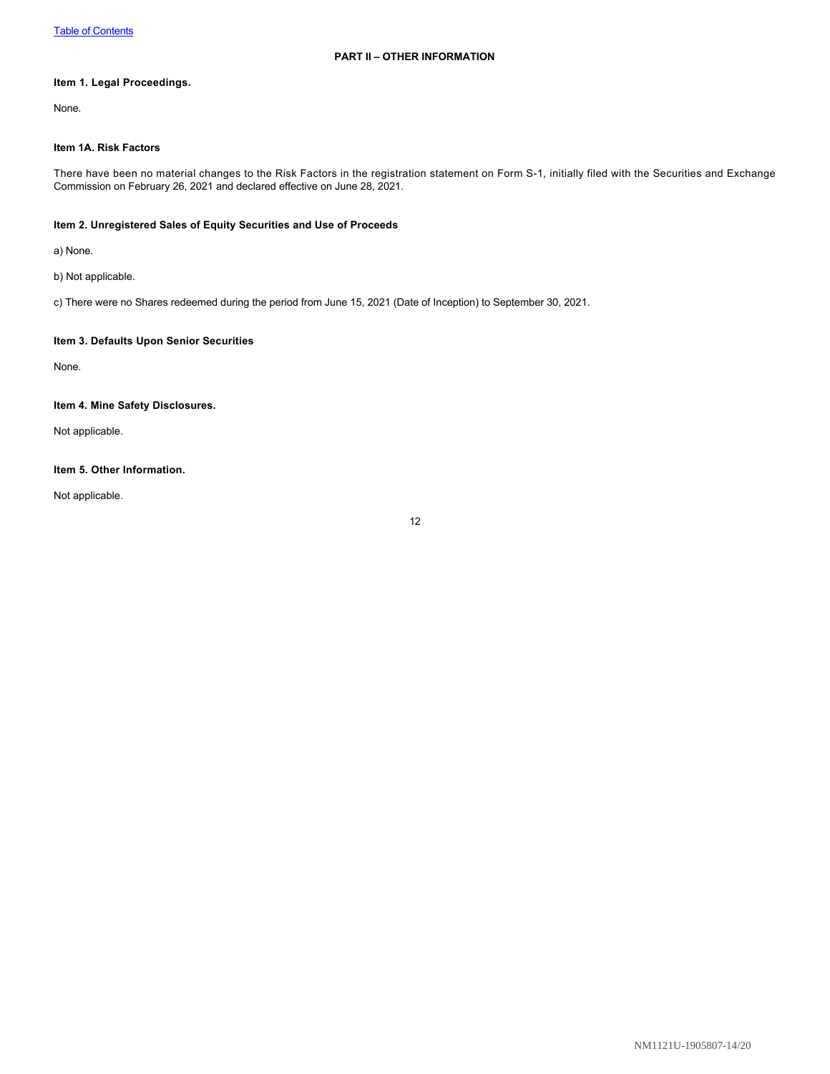## <span id="page-13-1"></span><span id="page-13-0"></span>**Item 1. Legal Proceedings.**

None.

## <span id="page-13-2"></span>**Item 1A. Risk Factors**

There have been no material changes to the Risk Factors in the registration statement on Form S-1, initially filed with the Securities and Exchange Commission on February 26, 2021 and declared effective on June 28, 2021.

## <span id="page-13-3"></span>**Item 2. Unregistered Sales of Equity Securities and Use of Proceeds**

a) None.

b) Not applicable.

c) There were no Shares redeemed during the period from June 15, 2021 (Date of Inception) to September 30, 2021.

## <span id="page-13-4"></span>**Item 3. Defaults Upon Senior Securities**

None.

#### <span id="page-13-5"></span>**Item 4. Mine Safety Disclosures.**

Not applicable.

## <span id="page-13-6"></span>**Item 5. Other Information.**

Not applicable.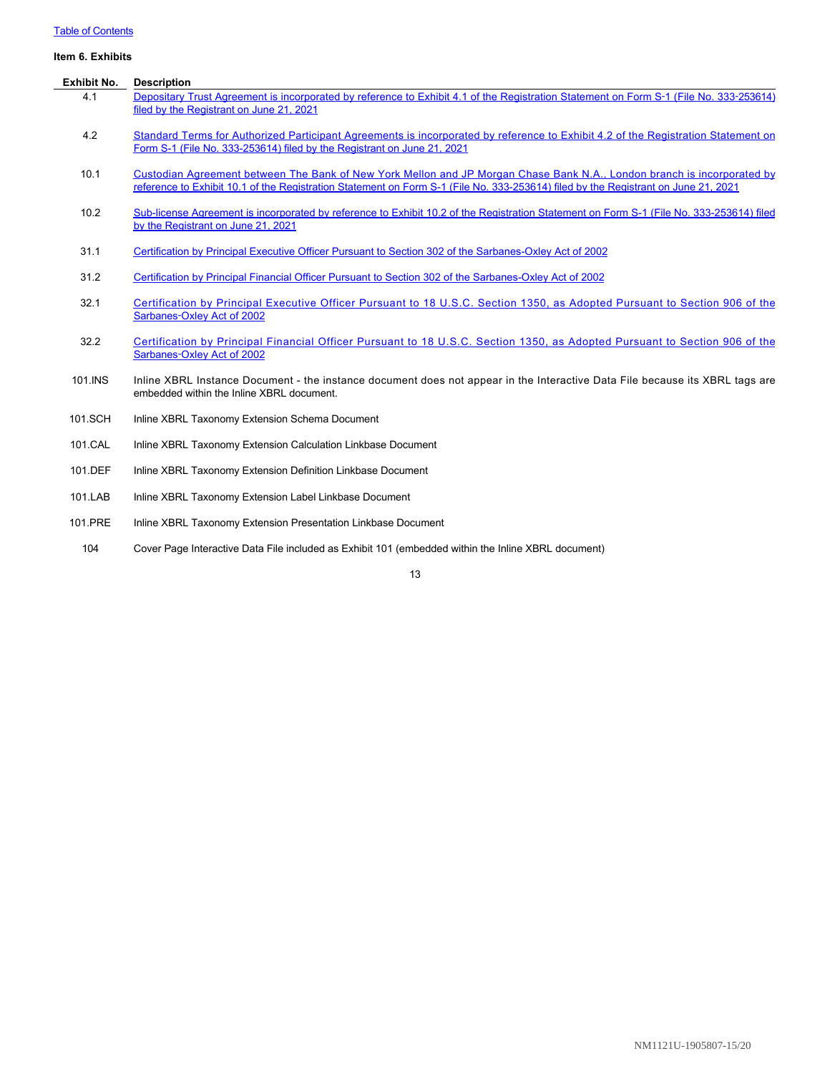## [Table of Contents](#page-1-0)

## <span id="page-14-0"></span>**Item 6. Exhibits**

| <b>Exhibit No.</b> | <b>Description</b>                                                                                                                                                                                                                                            |
|--------------------|---------------------------------------------------------------------------------------------------------------------------------------------------------------------------------------------------------------------------------------------------------------|
| 4.1                | Depositary Trust Agreement is incorporated by reference to Exhibit 4.1 of the Registration Statement on Form S-1 (File No. 333-253614)<br>filed by the Registrant on June 21, 2021                                                                            |
| 4.2                | Standard Terms for Authorized Participant Agreements is incorporated by reference to Exhibit 4.2 of the Registration Statement on<br>Form S-1 (File No. 333-253614) filed by the Registrant on June 21, 2021                                                  |
| 10.1               | Custodian Agreement between The Bank of New York Mellon and JP Morgan Chase Bank N.A., London branch is incorporated by<br>reference to Exhibit 10.1 of the Registration Statement on Form S-1 (File No. 333-253614) filed by the Registrant on June 21, 2021 |
| 10.2               | Sub-license Agreement is incorporated by reference to Exhibit 10.2 of the Registration Statement on Form S-1 (File No. 333-253614) filed<br>by the Registrant on June 21, 2021                                                                                |
| 31.1               | Certification by Principal Executive Officer Pursuant to Section 302 of the Sarbanes-Oxley Act of 2002                                                                                                                                                        |
| 31.2               | Certification by Principal Financial Officer Pursuant to Section 302 of the Sarbanes-Oxley Act of 2002                                                                                                                                                        |
| 32.1               | Certification by Principal Executive Officer Pursuant to 18 U.S.C. Section 1350, as Adopted Pursuant to Section 906 of the<br>Sarbanes-Oxley Act of 2002                                                                                                      |
| 32.2               | Certification by Principal Financial Officer Pursuant to 18 U.S.C. Section 1350, as Adopted Pursuant to Section 906 of the<br>Sarbanes-Oxley Act of 2002                                                                                                      |
| 101.INS            | Inline XBRL Instance Document - the instance document does not appear in the Interactive Data File because its XBRL tags are<br>embedded within the Inline XBRL document.                                                                                     |
| 101.SCH            | Inline XBRL Taxonomy Extension Schema Document                                                                                                                                                                                                                |
| 101.CAL            | Inline XBRL Taxonomy Extension Calculation Linkbase Document                                                                                                                                                                                                  |
| 101.DEF            | Inline XBRL Taxonomy Extension Definition Linkbase Document                                                                                                                                                                                                   |
| 101.LAB            | Inline XBRL Taxonomy Extension Label Linkbase Document                                                                                                                                                                                                        |
| 101.PRE            | Inline XBRL Taxonomy Extension Presentation Linkbase Document                                                                                                                                                                                                 |

104 Cover Page Interactive Data File included as Exhibit 101 (embedded within the Inline XBRL document)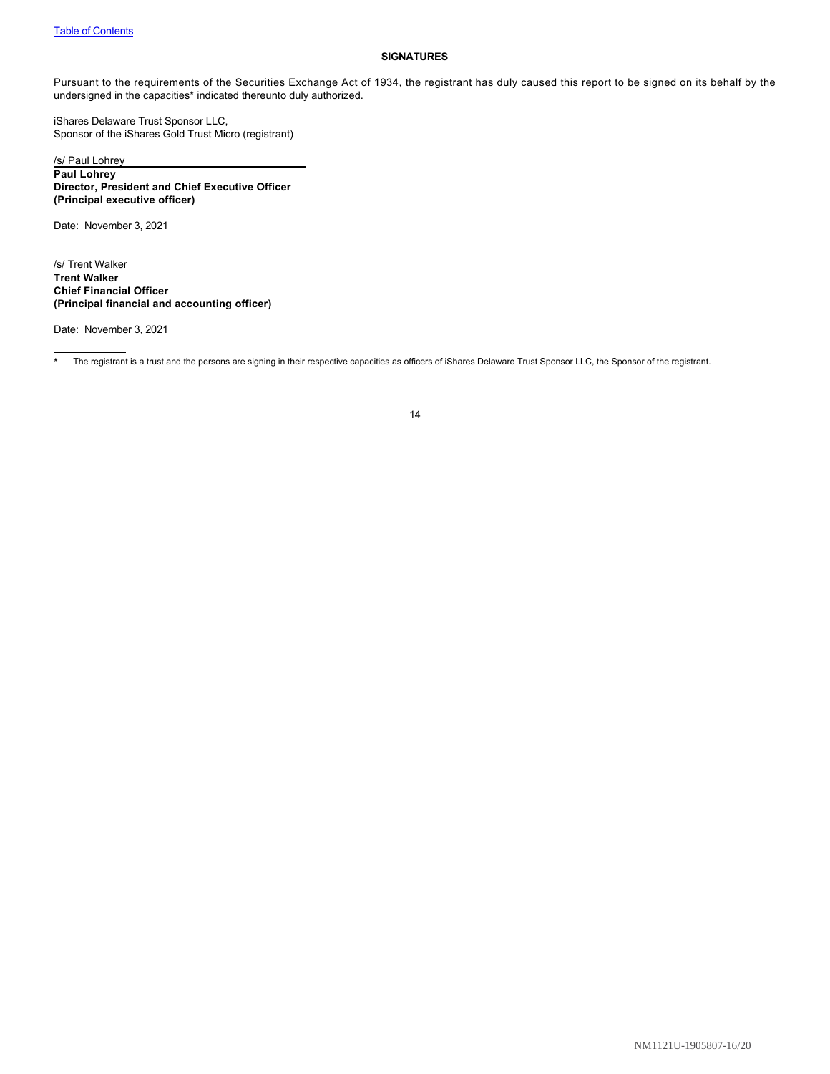#### <span id="page-15-0"></span>**SIGNATURES**

Pursuant to the requirements of the Securities Exchange Act of 1934, the registrant has duly caused this report to be signed on its behalf by the undersigned in the capacities\* indicated thereunto duly authorized.

iShares Delaware Trust Sponsor LLC, Sponsor of the iShares Gold Trust Micro (registrant)

/s/ Paul Lohrey **Paul Lohrey Director, President and Chief Executive Officer (Principal executive officer)**

Date: November 3, 2021

/s/ Trent Walker **Trent Walker Chief Financial Officer (Principal financial and accounting officer)**

Date: November 3, 2021

\* The registrant is a trust and the persons are signing in their respective capacities as officers of iShares Delaware Trust Sponsor LLC, the Sponsor of the registrant.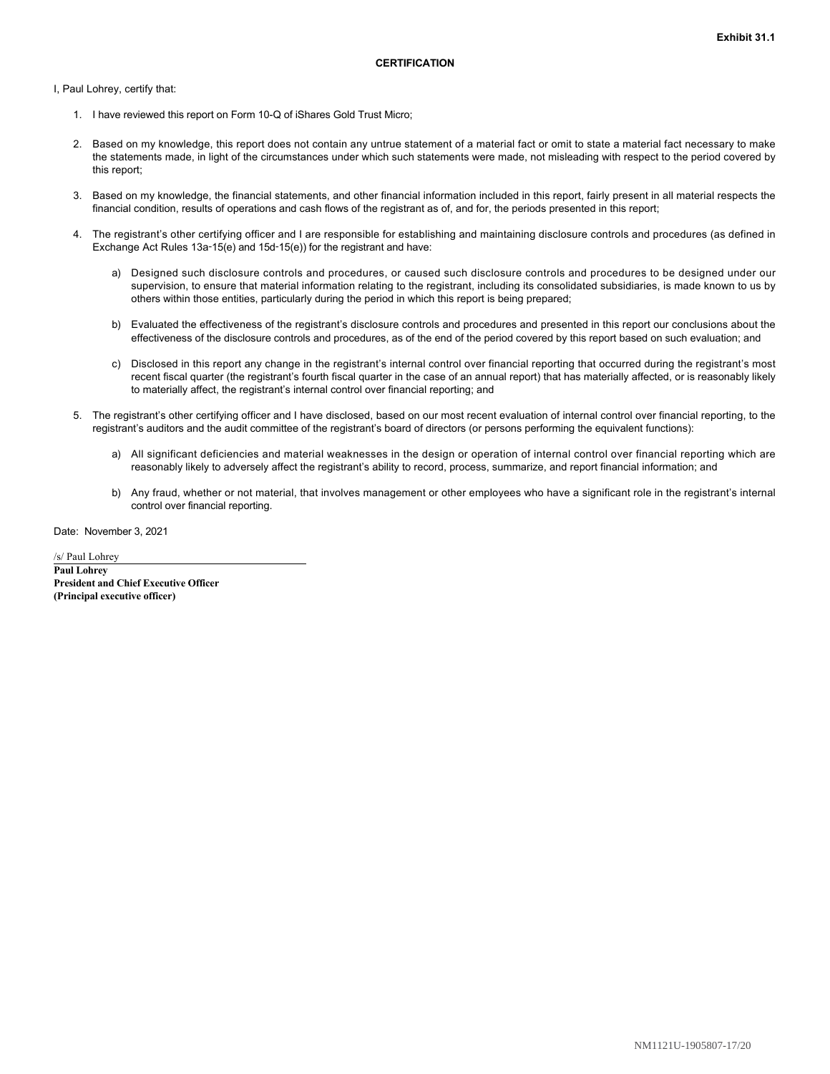<span id="page-16-0"></span>I, Paul Lohrey, certify that:

- 1. I have reviewed this report on Form 10-Q of iShares Gold Trust Micro;
- 2. Based on my knowledge, this report does not contain any untrue statement of a material fact or omit to state a material fact necessary to make the statements made, in light of the circumstances under which such statements were made, not misleading with respect to the period covered by this report;
- 3. Based on my knowledge, the financial statements, and other financial information included in this report, fairly present in all material respects the financial condition, results of operations and cash flows of the registrant as of, and for, the periods presented in this report;
- 4. The registrant's other certifying officer and I are responsible for establishing and maintaining disclosure controls and procedures (as defined in Exchange Act Rules 13a-15(e) and 15d-15(e)) for the registrant and have:
	- a) Designed such disclosure controls and procedures, or caused such disclosure controls and procedures to be designed under our supervision, to ensure that material information relating to the registrant, including its consolidated subsidiaries, is made known to us by others within those entities, particularly during the period in which this report is being prepared;
	- b) Evaluated the effectiveness of the registrant's disclosure controls and procedures and presented in this report our conclusions about the effectiveness of the disclosure controls and procedures, as of the end of the period covered by this report based on such evaluation; and
	- c) Disclosed in this report any change in the registrant's internal control over financial reporting that occurred during the registrant's most recent fiscal quarter (the registrant's fourth fiscal quarter in the case of an annual report) that has materially affected, or is reasonably likely to materially affect, the registrant's internal control over financial reporting; and
- 5. The registrant's other certifying officer and I have disclosed, based on our most recent evaluation of internal control over financial reporting, to the registrant's auditors and the audit committee of the registrant's board of directors (or persons performing the equivalent functions):
	- a) All significant deficiencies and material weaknesses in the design or operation of internal control over financial reporting which are reasonably likely to adversely affect the registrant's ability to record, process, summarize, and report financial information; and
	- b) Any fraud, whether or not material, that involves management or other employees who have a significant role in the registrant's internal control over financial reporting.

Date: November 3, 2021

/s/ Paul Lohrey **Paul Lohrey President and Chief Executive Officer (Principal executive officer)**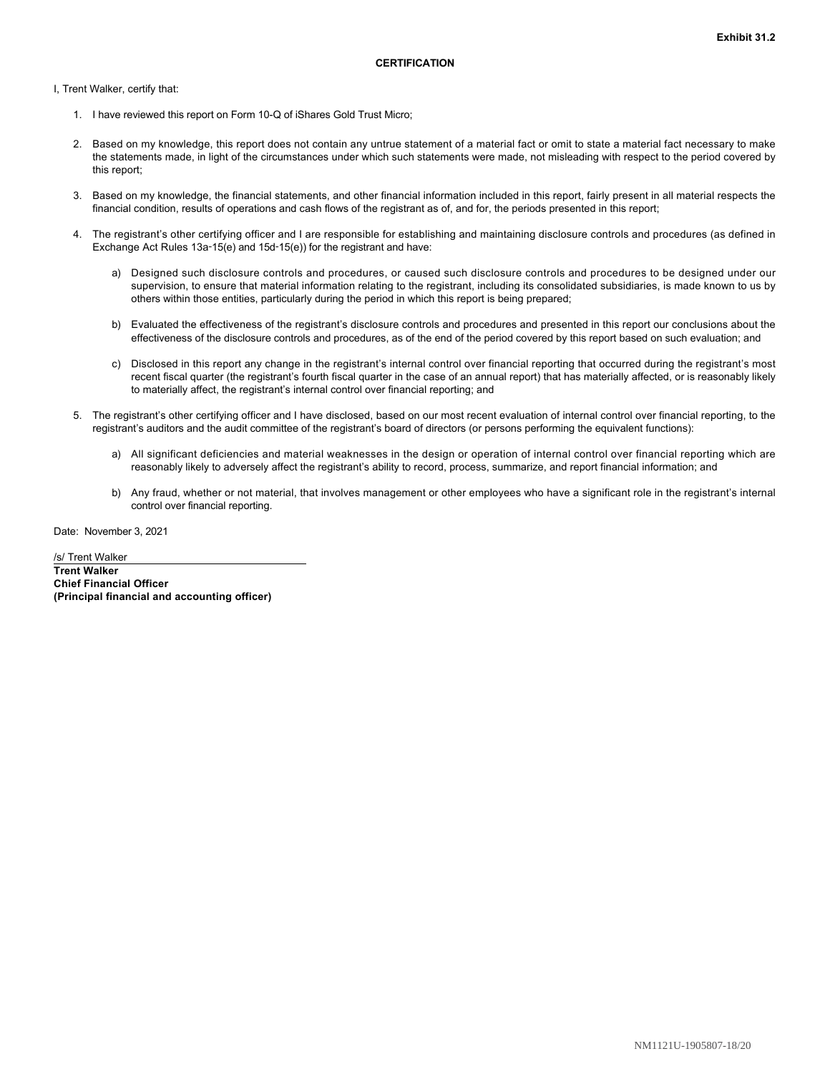<span id="page-17-0"></span>I, Trent Walker, certify that:

- 1. I have reviewed this report on Form 10-Q of iShares Gold Trust Micro;
- 2. Based on my knowledge, this report does not contain any untrue statement of a material fact or omit to state a material fact necessary to make the statements made, in light of the circumstances under which such statements were made, not misleading with respect to the period covered by this report;
- 3. Based on my knowledge, the financial statements, and other financial information included in this report, fairly present in all material respects the financial condition, results of operations and cash flows of the registrant as of, and for, the periods presented in this report;
- 4. The registrant's other certifying officer and I are responsible for establishing and maintaining disclosure controls and procedures (as defined in Exchange Act Rules 13a-15(e) and 15d-15(e)) for the registrant and have:
	- a) Designed such disclosure controls and procedures, or caused such disclosure controls and procedures to be designed under our supervision, to ensure that material information relating to the registrant, including its consolidated subsidiaries, is made known to us by others within those entities, particularly during the period in which this report is being prepared;
	- b) Evaluated the effectiveness of the registrant's disclosure controls and procedures and presented in this report our conclusions about the effectiveness of the disclosure controls and procedures, as of the end of the period covered by this report based on such evaluation; and
	- c) Disclosed in this report any change in the registrant's internal control over financial reporting that occurred during the registrant's most recent fiscal quarter (the registrant's fourth fiscal quarter in the case of an annual report) that has materially affected, or is reasonably likely to materially affect, the registrant's internal control over financial reporting; and
- 5. The registrant's other certifying officer and I have disclosed, based on our most recent evaluation of internal control over financial reporting, to the registrant's auditors and the audit committee of the registrant's board of directors (or persons performing the equivalent functions):
	- a) All significant deficiencies and material weaknesses in the design or operation of internal control over financial reporting which are reasonably likely to adversely affect the registrant's ability to record, process, summarize, and report financial information; and
	- b) Any fraud, whether or not material, that involves management or other employees who have a significant role in the registrant's internal control over financial reporting.

Date: November 3, 2021

/s/ Trent Walker **Trent Walker Chief Financial Officer (Principal financial and accounting officer)**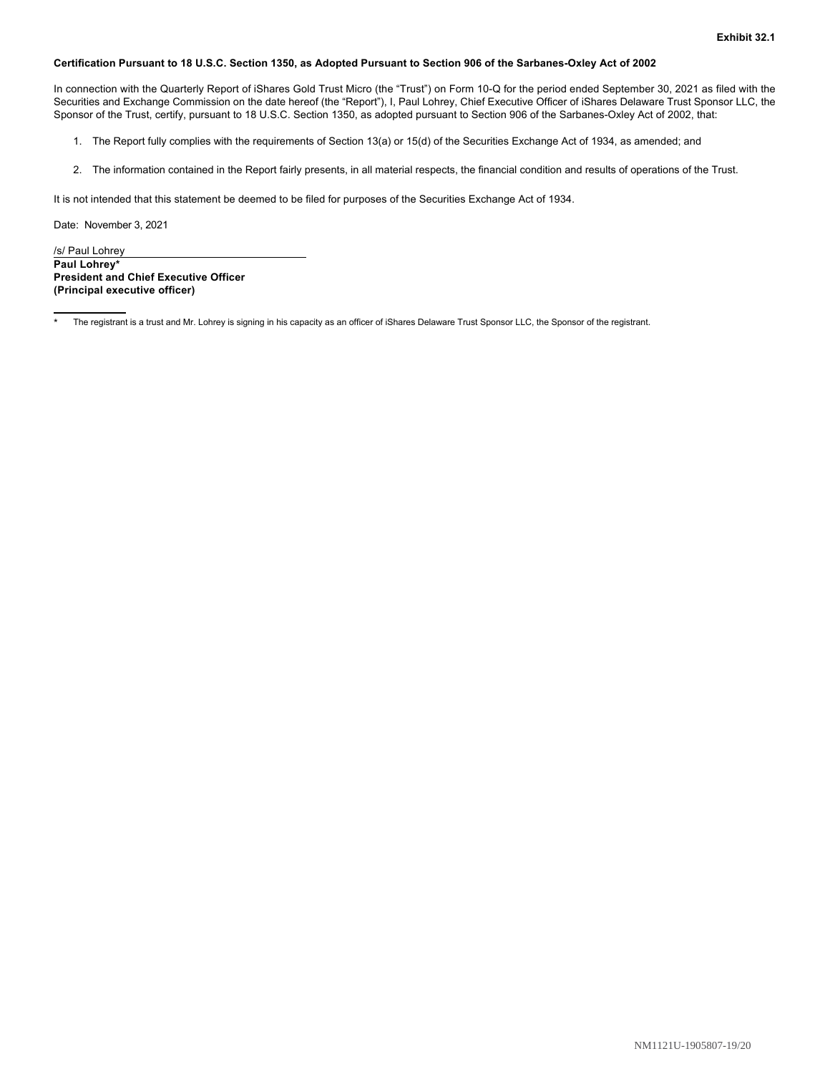#### <span id="page-18-0"></span>**Certification Pursuant to 18 U.S.C. Section 1350, as Adopted Pursuant to Section 906 of the Sarbanes-Oxley Act of 2002**

In connection with the Quarterly Report of iShares Gold Trust Micro (the "Trust") on Form 10-Q for the period ended September 30, 2021 as filed with the Securities and Exchange Commission on the date hereof (the "Report"), I, Paul Lohrey, Chief Executive Officer of iShares Delaware Trust Sponsor LLC, the Sponsor of the Trust, certify, pursuant to 18 U.S.C. Section 1350, as adopted pursuant to Section 906 of the Sarbanes-Oxley Act of 2002, that:

- 1. The Report fully complies with the requirements of Section 13(a) or 15(d) of the Securities Exchange Act of 1934, as amended; and
- 2. The information contained in the Report fairly presents, in all material respects, the financial condition and results of operations of the Trust.

It is not intended that this statement be deemed to be filed for purposes of the Securities Exchange Act of 1934.

Date: November 3, 2021

/s/ Paul Lohrey **Paul Lohrey\* President and Chief Executive Officer (Principal executive officer)**

The registrant is a trust and Mr. Lohrey is signing in his capacity as an officer of iShares Delaware Trust Sponsor LLC, the Sponsor of the registrant.